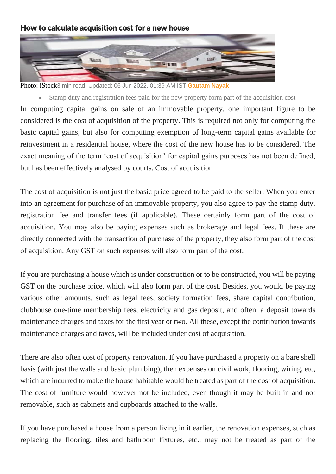## How to calculate acquisition cost for a new house



Photo: iStock3 min read Updated: 06 Jun 2022, 01:39 AM IST **[Gautam Nayak](https://www.livemint.com/Search/Link/Author/Gautam-Nayak)**

• Stamp duty and registration fees paid for the new property form part of the acquisition cost In computing capital gains on sale of an immovable property, one important figure to be considered is the cost of acquisition of the property. This is required not only for computing the basic capital gains, but also for computing exemption of long-term capital gains available for reinvestment in a residential house, where the cost of the new house has to be considered. The exact meaning of the term 'cost of acquisition' for capital gains purposes has not been defined, but has been effectively analysed by courts. Cost of acquisition

The cost of acquisition is not just the basic price agreed to be paid to the seller. When you enter into an agreement for purchase of an immovable property, you also agree to pay the stamp duty, registration fee and transfer fees (if applicable). These certainly form part of the cost of acquisition. You may also be paying expenses such as brokerage and legal fees. If these are directly connected with the transaction of purchase of the property, they also form part of the cost of acquisition. Any GST on such expenses will also form part of the cost.

If you are purchasing a house which is under construction or to be constructed, you will be paying GST on the purchase price, which will also form part of the cost. Besides, you would be paying various other amounts, such as legal fees, society formation fees, share capital contribution, clubhouse one-time membership fees, electricity and gas deposit, and often, a deposit towards maintenance charges and taxes for the first year or two. All these, except the contribution towards maintenance charges and taxes, will be included under cost of acquisition.

There are also often cost of property renovation. If you have purchased a property on a bare shell basis (with just the walls and basic plumbing), then expenses on civil work, flooring, wiring, etc, which are incurred to make the house habitable would be treated as part of the cost of acquisition. The cost of furniture would however not be included, even though it may be built in and not removable, such as cabinets and cupboards attached to the walls.

If you have purchased a house from a person living in it earlier, the renovation expenses, such as replacing the flooring, tiles and bathroom fixtures, etc., may not be treated as part of the